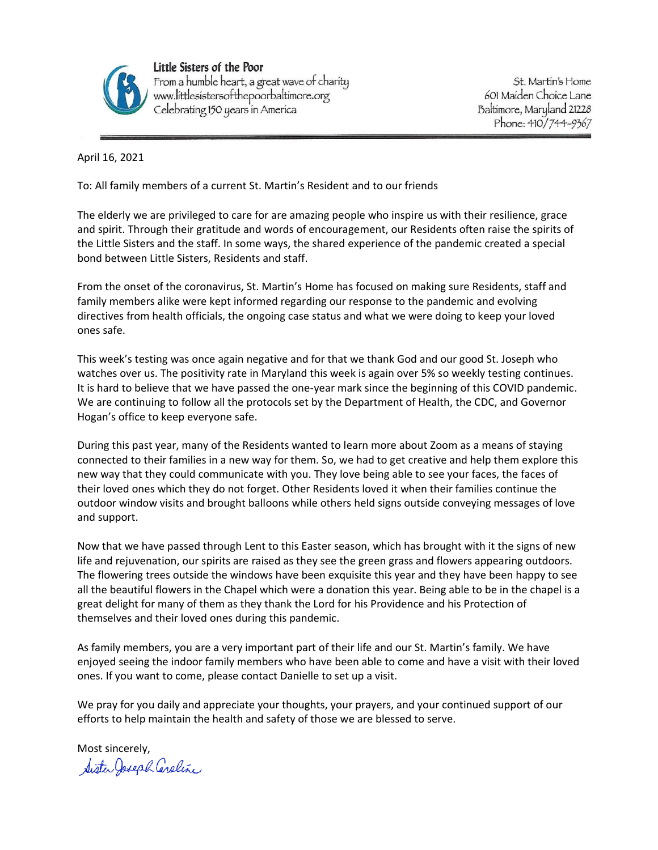

Little Sisters of the Poor From a humble heart, a great wave of charity www.littlesistersofthepoorbaltimore.org Celebrating 150 years in America

St. Martin's Home 601 Maiden Choice Lane Baltimore, Maryland 21228 Phone: 410/744-9367

April 16, 2021

To: All family members of a current St. Martin's Resident and to our friends

The elderly we are privileged to care for are amazing people who inspire us with their resilience, grace and spirit. Through their gratitude and words of encouragement, our Residents often raise the spirits of the Little Sisters and the staff. In some ways, the shared experience of the pandemic created a special bond between Little Sisters, Residents and staff.

From the onset of the coronavirus, St. Martin's Home has focused on making sure Residents, staff and family members alike were kept informed regarding our response to the pandemic and evolving directives from health officials, the ongoing case status and what we were doing to keep your loved ones safe.

This week's testing was once again negative and for that we thank God and our good St. Joseph who watches over us. The positivity rate in Maryland this week is again over 5% so weekly testing continues. It is hard to believe that we have passed the one-year mark since the beginning of this COVID pandemic. We are continuing to follow all the protocols set by the Department of Health, the CDC, and Governor Hogan's office to keep everyone safe.

During this past year, many of the Residents wanted to learn more about Zoom as a means of staying connected to their families in a new way for them. So, we had to get creative and help them explore this new way that they could communicate with you. They love being able to see your faces, the faces of their loved ones which they do not forget. Other Residents loved it when their families continue the outdoor window visits and brought balloons while others held signs outside conveying messages of love and support.

Now that we have passed through Lent to this Easter season, which has brought with it the signs of new life and rejuvenation, our spirits are raised as they see the green grass and flowers appearing outdoors. The flowering trees outside the windows have been exquisite this year and they have been happy to see all the beautiful flowers in the Chapel which were a donation this year. Being able to be in the chapel is a great delight for many of them as they thank the Lord for his Providence and his Protection of themselves and their loved ones during this pandemic.

As family members, you are a very important part of their life and our St. Martin's family. We have enjoyed seeing the indoor family members who have been able to come and have a visit with their loved ones. If you want to come, please contact Danielle to set up a visit.

We pray for you daily and appreciate your thoughts, your prayers, and your continued support of our efforts to help maintain the health and safety of those we are blessed to serve.

Most sincerely,<br>Sister Joseph Cereline